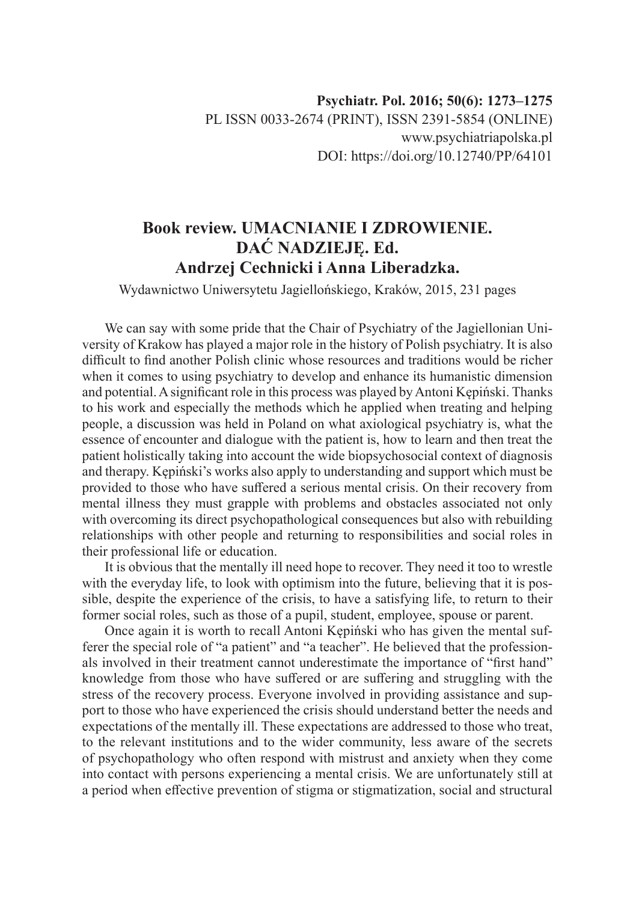## **Book review. UMACNIANIE I ZDROWIENIE. DAĆ NADZIEJĘ. Ed. Andrzej Cechnicki i Anna Liberadzka.**

Wydawnictwo Uniwersytetu Jagiellońskiego, Kraków, 2015, 231 pages

We can say with some pride that the Chair of Psychiatry of the Jagiellonian University of Krakow has played a major role in the history of Polish psychiatry. It is also difficult to find another Polish clinic whose resources and traditions would be richer when it comes to using psychiatry to develop and enhance its humanistic dimension and potential. A significant role in this process was played by Antoni Kępiński. Thanks to his work and especially the methods which he applied when treating and helping people, a discussion was held in Poland on what axiological psychiatry is, what the essence of encounter and dialogue with the patient is, how to learn and then treat the patient holistically taking into account the wide biopsychosocial context of diagnosis and therapy. Kępiński's works also apply to understanding and support which must be provided to those who have suffered a serious mental crisis. On their recovery from mental illness they must grapple with problems and obstacles associated not only with overcoming its direct psychopathological consequences but also with rebuilding relationships with other people and returning to responsibilities and social roles in their professional life or education.

It is obvious that the mentally ill need hope to recover. They need it too to wrestle with the everyday life, to look with optimism into the future, believing that it is possible, despite the experience of the crisis, to have a satisfying life, to return to their former social roles, such as those of a pupil, student, employee, spouse or parent.

Once again it is worth to recall Antoni Kępiński who has given the mental sufferer the special role of "a patient" and "a teacher". He believed that the professionals involved in their treatment cannot underestimate the importance of "first hand" knowledge from those who have suffered or are suffering and struggling with the stress of the recovery process. Everyone involved in providing assistance and support to those who have experienced the crisis should understand better the needs and expectations of the mentally ill. These expectations are addressed to those who treat, to the relevant institutions and to the wider community, less aware of the secrets of psychopathology who often respond with mistrust and anxiety when they come into contact with persons experiencing a mental crisis. We are unfortunately still at a period when effective prevention of stigma or stigmatization, social and structural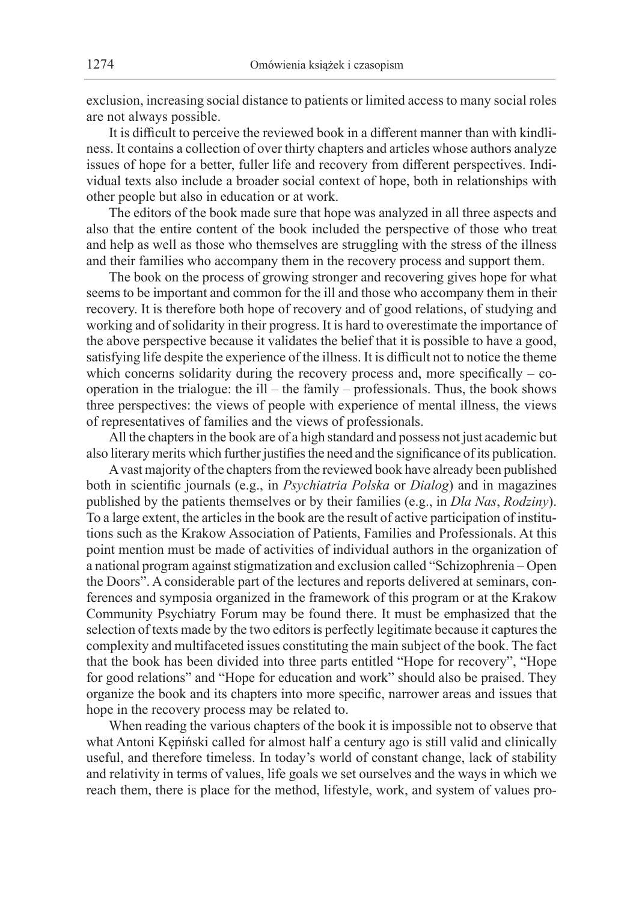exclusion, increasing social distance to patients or limited access to many social roles are not always possible.

It is difficult to perceive the reviewed book in a different manner than with kindliness. It contains a collection of over thirty chapters and articles whose authors analyze issues of hope for a better, fuller life and recovery from different perspectives. Individual texts also include a broader social context of hope, both in relationships with other people but also in education or at work.

The editors of the book made sure that hope was analyzed in all three aspects and also that the entire content of the book included the perspective of those who treat and help as well as those who themselves are struggling with the stress of the illness and their families who accompany them in the recovery process and support them.

The book on the process of growing stronger and recovering gives hope for what seems to be important and common for the ill and those who accompany them in their recovery. It is therefore both hope of recovery and of good relations, of studying and working and of solidarity in their progress. It is hard to overestimate the importance of the above perspective because it validates the belief that it is possible to have a good, satisfying life despite the experience of the illness. It is difficult not to notice the theme which concerns solidarity during the recovery process and, more specifically – cooperation in the trialogue: the ill – the family – professionals. Thus, the book shows three perspectives: the views of people with experience of mental illness, the views of representatives of families and the views of professionals.

All the chapters in the book are of a high standard and possess not just academic but also literary merits which further justifies the need and the significance of its publication.

A vast majority of the chapters from the reviewed book have already been published both in scientific journals (e.g., in *Psychiatria Polska* or *Dialog*) and in magazines published by the patients themselves or by their families (e.g., in *Dla Nas*, *Rodziny*). To a large extent, the articles in the book are the result of active participation of institutions such as the Krakow Association of Patients, Families and Professionals. At this point mention must be made of activities of individual authors in the organization of a national program against stigmatization and exclusion called "Schizophrenia – Open the Doors". A considerable part of the lectures and reports delivered at seminars, conferences and symposia organized in the framework of this program or at the Krakow Community Psychiatry Forum may be found there. It must be emphasized that the selection of texts made by the two editors is perfectly legitimate because it captures the complexity and multifaceted issues constituting the main subject of the book. The fact that the book has been divided into three parts entitled "Hope for recovery", "Hope for good relations" and "Hope for education and work" should also be praised. They organize the book and its chapters into more specific, narrower areas and issues that hope in the recovery process may be related to.

When reading the various chapters of the book it is impossible not to observe that what Antoni Kępiński called for almost half a century ago is still valid and clinically useful, and therefore timeless. In today's world of constant change, lack of stability and relativity in terms of values, life goals we set ourselves and the ways in which we reach them, there is place for the method, lifestyle, work, and system of values pro